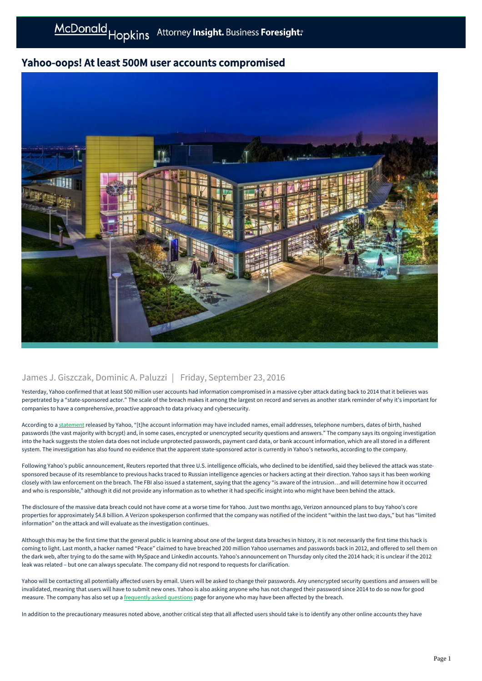## Yahoo-oops! At least 500M user accounts compromised



## James J. Giszczak, Dominic A. Paluzzi | Friday, September 23, 2016

Yesterday, Yahoo confirmed that at least 500 million user accounts had information compromised in a massive cyber attack dating back to 2014 that it believes was perpetrated by a "state-sponsored actor." The scale of the breach makes it among the largest on record and serves as another stark reminder of why it's important for companies to have a comprehensive, proactive approach to data privacy and cybersecurity.

According to a [statement](https://yahoo.tumblr.com/post/150781911849/an-important-message-about-yahoo-user-security) released by Yahoo, "[t]he account information may have included names, email addresses, telephone numbers, dates of birth, hashed passwords (the vast majority with bcrypt) and, in some cases, encrypted or unencrypted security questions and answers." The company says its ongoing investigation into the hack suggests the stolen data does not include unprotected passwords, payment card data, or bank account information, which are all stored in a different system. The investigation has also found no evidence that the apparent state-sponsored actor is currently in Yahoo's networks, according to the company.

Following Yahoo's public announcement, Reuters reported that three U.S. intelligence officials, who declined to be identified, said they believed the attack was statesponsored because of its resemblance to previous hacks traced to Russian intelligence agencies or hackers acting at their direction. Yahoo says it has been working closely with law enforcement on the breach. The FBI also issued a statement, saying that the agency "is aware of the intrusion…and will determine how it occurred and who is responsible," although it did not provide any information as to whether it had specific insight into who might have been behind the attack.

The disclosure of the massive data breach could not have come at a worse time for Yahoo. Just two months ago, Verizon announced plans to buy Yahoo's core properties for approximately \$4.8 billion. A Verizon spokesperson confirmed that the company was notified of the incident "within the last two days," but has "limited information" on the attack and will evaluate as the investigation continues.

Although this may be the first time that the general public is learning about one of the largest data breaches in history, it is not necessarily the first time this hack is coming to light. Last month, a hacker named "Peace" claimed to have breached 200 million Yahoo usernames and passwords back in 2012, and offered to sell them on the dark web, after trying to do the same with MySpace and LinkedIn accounts. Yahoo's announcement on Thursday only cited the 2014 hack; it is unclear if the 2012 leak was related – but one can always speculate. The company did not respond to requests for clarification.

Yahoo will be contacting all potentially affected users by email. Users will be asked to change their passwords. Any unencrypted security questions and answers will be invalidated, meaning that users will have to submit new ones. Yahoo is also asking anyone who has not changed their password since 2014 to do so now for good measure. The company has also set up a [frequently asked questions](https://help.yahoo.com/kb/account/SLN27925.html?impressions=true) page for anyone who may have been affected by the breach.

In addition to the precautionary measures noted above, another critical step that all affected users should take is to identify any other online accounts they have